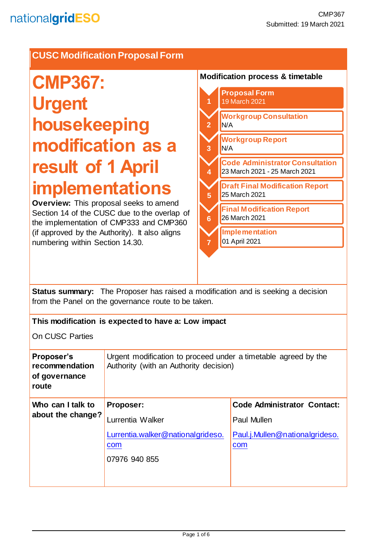# **CUSC Modification Proposal Form**

# **CMP367: Urgent housekeeping modification as a result of 1 April implementations**

**Overview:** This proposal seeks to amend Section 14 of the CUSC due to the overlap of the implementation of CMP333 and CMP360 (if approved by the Authority). It also aligns numbering within Section 14.30.

#### **Modification process & timetable**



**Status summary:** The Proposer has raised a modification and is seeking a decision from the Panel on the governance route to be taken.

| This modification is expected to have a: Low impact                                                      |                                                                                            |  |
|----------------------------------------------------------------------------------------------------------|--------------------------------------------------------------------------------------------|--|
|                                                                                                          |                                                                                            |  |
| Urgent modification to proceed under a timetable agreed by the<br>Authority (with an Authority decision) |                                                                                            |  |
| Proposer:<br>Lurrentia Walker<br>Lurrentia.walker@nationalgrideso.<br>com<br>07976 940 855               | <b>Code Administrator Contact:</b><br>Paul Mullen<br>Paul.j.Mullen@nationalgrideso.<br>com |  |
|                                                                                                          |                                                                                            |  |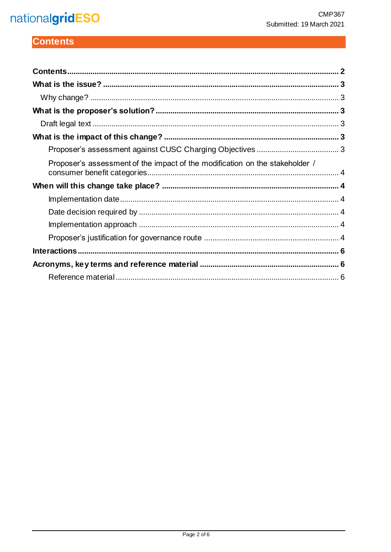# nationalgridESO

# <span id="page-1-0"></span>**Contents**

| Proposer's assessment of the impact of the modification on the stakeholder / |  |
|------------------------------------------------------------------------------|--|
|                                                                              |  |
|                                                                              |  |
|                                                                              |  |
|                                                                              |  |
|                                                                              |  |
|                                                                              |  |
|                                                                              |  |
|                                                                              |  |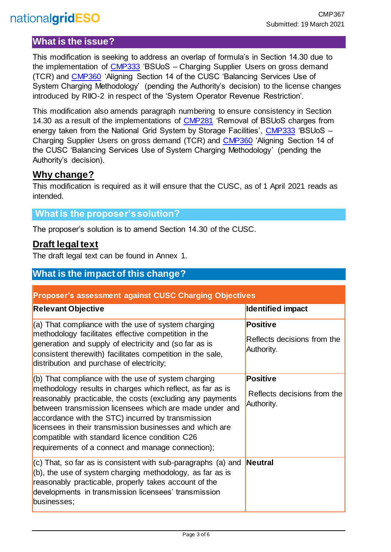# nationalgridESO

## <span id="page-2-0"></span>**What is the issue?**

This modification is seeking to address an overlap of formula's in Section 14.30 due to the implementation of [CMP333](https://www.nationalgrideso.com/industry-information/codes/connection-and-use-system-code-cusc-old/modifications/cmp333-bsuos) 'BSUoS – Charging Supplier Users on gross demand (TCR) and [CMP360](https://www.nationalgrideso.com/industry-information/codes/connection-and-use-system-code-cusc-old/modifications/cmp360-aligning) 'Aligning Section 14 of the CUSC 'Balancing Services Use of System Charging Methodology' (pending the Authority's decision) to the license changes introduced by RIIO-2 in respect of the 'System Operator Revenue Restriction'.

This modification also amends paragraph numbering to ensure consistency in Section 14.30 as a result of the implementations of [CMP281](https://www.nationalgrideso.com/industry-information/codes/connection-and-use-system-code-cusc-old/modifications/cmp281-removal) 'Removal of BSUoS charges from energy taken from the National Grid System by Storage Facilities', [CMP333](https://www.nationalgrideso.com/industry-information/codes/connection-and-use-system-code-cusc-old/modifications/cmp333-bsuos) 'BSUoS – Charging Supplier Users on gross demand (TCR) and [CMP360](https://www.nationalgrideso.com/industry-information/codes/connection-and-use-system-code-cusc-old/modifications/cmp360-aligning) 'Aligning Section 14 of the CUSC 'Balancing Services Use of System Charging Methodology' (pending the Authority's decision).

# <span id="page-2-1"></span>**Why change?**

This modification is required as it will ensure that the CUSC, as of 1 April 2021 reads as intended.

#### <span id="page-2-2"></span>**What is the proposer's solution?**

The proposer's solution is to amend Section 14.30 of the CUSC.

## <span id="page-2-3"></span>**Draft legal text**

The draft legal text can be found in Annex 1.

# <span id="page-2-4"></span>**What is the impact of this change?**

<span id="page-2-5"></span>

| <b>Proposer's assessment against CUSC Charging Objectives</b>                                                                                                                                                                                                                                                                                                                                                                                                       |                                                              |  |
|---------------------------------------------------------------------------------------------------------------------------------------------------------------------------------------------------------------------------------------------------------------------------------------------------------------------------------------------------------------------------------------------------------------------------------------------------------------------|--------------------------------------------------------------|--|
| <b>Relevant Objective</b>                                                                                                                                                                                                                                                                                                                                                                                                                                           | <b>Identified impact</b>                                     |  |
| $(a)$ That compliance with the use of system charging<br>methodology facilitates effective competition in the<br>generation and supply of electricity and (so far as is<br>consistent therewith) facilitates competition in the sale,<br>distribution and purchase of electricity;                                                                                                                                                                                  | <b>Positive</b><br>Reflects decisions from the<br>Authority. |  |
| $(6)$ That compliance with the use of system charging<br>methodology results in charges which reflect, as far as is<br>reasonably practicable, the costs (excluding any payments<br>between transmission licensees which are made under and<br>accordance with the STC) incurred by transmission<br>licensees in their transmission businesses and which are<br>compatible with standard licence condition C26<br>requirements of a connect and manage connection); | <b>Positive</b><br>Reflects decisions from the<br>Authority. |  |
| $(c)$ That, so far as is consistent with sub-paragraphs (a) and<br>$(6)$ , the use of system charging methodology, as far as is<br>reasonably practicable, properly takes account of the<br>developments in transmission licensees' transmission<br>businesses;                                                                                                                                                                                                     | Neutral                                                      |  |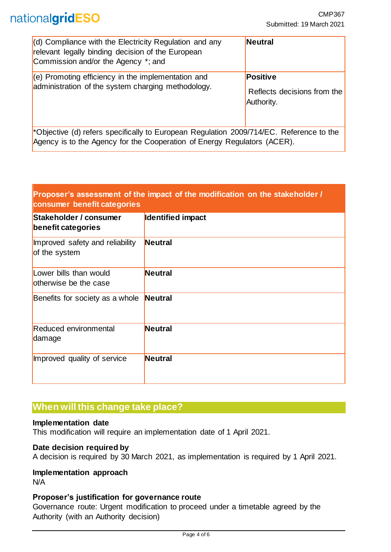| $\vert$ (d) Compliance with the Electricity Regulation and any<br>relevant legally binding decision of the European<br>Commission and/or the Agency *; and          | <b>Neutral</b>                                        |
|---------------------------------------------------------------------------------------------------------------------------------------------------------------------|-------------------------------------------------------|
| $(e)$ Promoting efficiency in the implementation and<br>administration of the system charging methodology.                                                          | Positive<br>Reflects decisions from the<br>Authority. |
| *Objective (d) refers specifically to European Regulation 2009/714/EC. Reference to the<br>Agency is to the Agency for the Cooperation of Energy Regulators (ACER). |                                                       |

#### <span id="page-3-0"></span>**Proposer's assessment of the impact of the modification on the stakeholder / consumer benefit categories**

| Stakeholder / consumer<br>benefit categories     | <b>Identified impact</b> |
|--------------------------------------------------|--------------------------|
| Improved safety and reliability<br>of the system | <b>Neutral</b>           |
| Lower bills than would<br>otherwise be the case  | <b>Neutral</b>           |
| Benefits for society as a whole                  | Neutral                  |
| <b>Reduced environmental</b><br>damage           | <b>Neutral</b>           |
| Improved quality of service                      | <b>Neutral</b>           |

# <span id="page-3-1"></span>**When will this change take place?**

#### <span id="page-3-2"></span>**Implementation date**

This modification will require an implementation date of 1 April 2021.

#### <span id="page-3-3"></span>**Date decision required by**

A decision is required by 30 March 2021, as implementation is required by 1 April 2021.

#### <span id="page-3-4"></span>**Implementation approach**

N/A

#### <span id="page-3-5"></span>**Proposer's justification for governance route**

Governance route: Urgent modification to proceed under a timetable agreed by the Authority (with an Authority decision)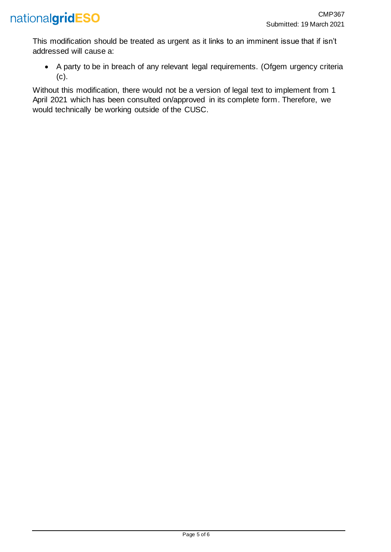

This modification should be treated as urgent as it links to an imminent issue that if isn't addressed will cause a:

• A party to be in breach of any relevant legal requirements. (Ofgem urgency criteria (c).

Without this modification, there would not be a version of legal text to implement from 1 April 2021 which has been consulted on/approved in its complete form. Therefore, we would technically be working outside of the CUSC.